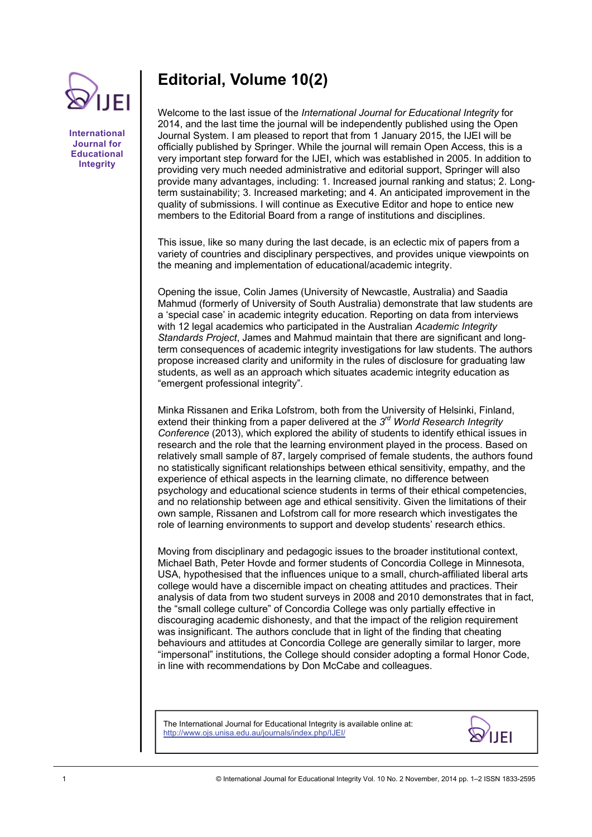

**International Journal for Educational Integrity** 

## **Editorial, Volume 10(2)**

Welcome to the last issue of the *International Journal for Educational Integrity* for 2014, and the last time the journal will be independently published using the Open Journal System. I am pleased to report that from 1 January 2015, the IJEI will be officially published by Springer. While the journal will remain Open Access, this is a very important step forward for the IJEI, which was established in 2005. In addition to providing very much needed administrative and editorial support, Springer will also provide many advantages, including: 1. Increased journal ranking and status; 2. Longterm sustainability; 3. Increased marketing; and 4. An anticipated improvement in the quality of submissions. I will continue as Executive Editor and hope to entice new members to the Editorial Board from a range of institutions and disciplines.

This issue, like so many during the last decade, is an eclectic mix of papers from a variety of countries and disciplinary perspectives, and provides unique viewpoints on the meaning and implementation of educational/academic integrity.

Opening the issue, Colin James (University of Newcastle, Australia) and Saadia Mahmud (formerly of University of South Australia) demonstrate that law students are a 'special case' in academic integrity education. Reporting on data from interviews with 12 legal academics who participated in the Australian *Academic Integrity Standards Project*, James and Mahmud maintain that there are significant and longterm consequences of academic integrity investigations for law students. The authors propose increased clarity and uniformity in the rules of disclosure for graduating law students, as well as an approach which situates academic integrity education as "emergent professional integrity".

Minka Rissanen and Erika Lofstrom, both from the University of Helsinki, Finland, extend their thinking from a paper delivered at the *3rd World Research Integrity Conference* (2013), which explored the ability of students to identify ethical issues in research and the role that the learning environment played in the process. Based on relatively small sample of 87, largely comprised of female students, the authors found no statistically significant relationships between ethical sensitivity, empathy, and the experience of ethical aspects in the learning climate, no difference between psychology and educational science students in terms of their ethical competencies, and no relationship between age and ethical sensitivity. Given the limitations of their own sample, Rissanen and Lofstrom call for more research which investigates the role of learning environments to support and develop students' research ethics.

Moving from disciplinary and pedagogic issues to the broader institutional context, Michael Bath, Peter Hovde and former students of Concordia College in Minnesota, USA, hypothesised that the influences unique to a small, church-affiliated liberal arts college would have a discernible impact on cheating attitudes and practices. Their analysis of data from two student surveys in 2008 and 2010 demonstrates that in fact, the "small college culture" of Concordia College was only partially effective in discouraging academic dishonesty, and that the impact of the religion requirement was insignificant. The authors conclude that in light of the finding that cheating behaviours and attitudes at Concordia College are generally similar to larger, more "impersonal" institutions, the College should consider adopting a formal Honor Code, in line with recommendations by Don McCabe and colleagues.

The International Journal for Educational Integrity is available online at: http://www.ojs.unisa.edu.au/journals/index.php/IJEI/